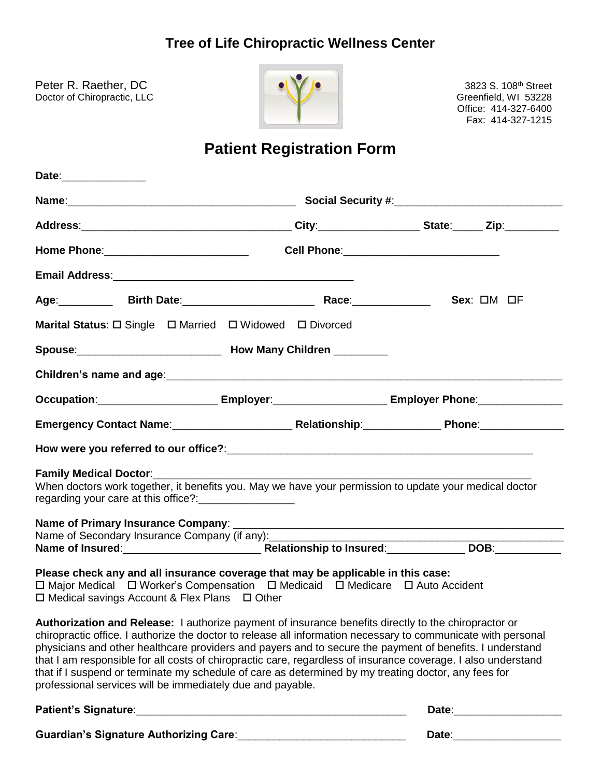## **Tree of Life Chiropractic Wellness Center**

Peter R. Raether, DC 3823 S. 108th Street Doctor of Chiropractic, LLC and Creenfield, WI 53228



Office: 414-327-6400 Fax: 414-327-1215

# **Patient Registration Form**

| Date:_______________                                                                                                                                                                                                                                                                                                                                                                                                                                                                                                                                                                                                            |                                                                                                                                                                                                                                      |
|---------------------------------------------------------------------------------------------------------------------------------------------------------------------------------------------------------------------------------------------------------------------------------------------------------------------------------------------------------------------------------------------------------------------------------------------------------------------------------------------------------------------------------------------------------------------------------------------------------------------------------|--------------------------------------------------------------------------------------------------------------------------------------------------------------------------------------------------------------------------------------|
|                                                                                                                                                                                                                                                                                                                                                                                                                                                                                                                                                                                                                                 |                                                                                                                                                                                                                                      |
|                                                                                                                                                                                                                                                                                                                                                                                                                                                                                                                                                                                                                                 |                                                                                                                                                                                                                                      |
|                                                                                                                                                                                                                                                                                                                                                                                                                                                                                                                                                                                                                                 |                                                                                                                                                                                                                                      |
| Email Address: 2008 and 2008 and 2008 and 2008 and 2008 and 2008 and 2008 and 2008 and 2008 and 2008 and 2008                                                                                                                                                                                                                                                                                                                                                                                                                                                                                                                   |                                                                                                                                                                                                                                      |
| Age: Birth Date: Management Race: Mace:                                                                                                                                                                                                                                                                                                                                                                                                                                                                                                                                                                                         | $Sex: \Box M \Box F$                                                                                                                                                                                                                 |
| Marital Status: $\Box$ Single $\Box$ Married $\Box$ Widowed $\Box$ Divorced                                                                                                                                                                                                                                                                                                                                                                                                                                                                                                                                                     |                                                                                                                                                                                                                                      |
|                                                                                                                                                                                                                                                                                                                                                                                                                                                                                                                                                                                                                                 |                                                                                                                                                                                                                                      |
|                                                                                                                                                                                                                                                                                                                                                                                                                                                                                                                                                                                                                                 |                                                                                                                                                                                                                                      |
| Occupation:______________________________Employer:____________________________Employer Phone:________________                                                                                                                                                                                                                                                                                                                                                                                                                                                                                                                   |                                                                                                                                                                                                                                      |
|                                                                                                                                                                                                                                                                                                                                                                                                                                                                                                                                                                                                                                 |                                                                                                                                                                                                                                      |
|                                                                                                                                                                                                                                                                                                                                                                                                                                                                                                                                                                                                                                 |                                                                                                                                                                                                                                      |
| When doctors work together, it benefits you. May we have your permission to update your medical doctor<br>regarding your care at this office?:                                                                                                                                                                                                                                                                                                                                                                                                                                                                                  |                                                                                                                                                                                                                                      |
|                                                                                                                                                                                                                                                                                                                                                                                                                                                                                                                                                                                                                                 |                                                                                                                                                                                                                                      |
| Name of Secondary Insurance Company (if any):                                                                                                                                                                                                                                                                                                                                                                                                                                                                                                                                                                                   |                                                                                                                                                                                                                                      |
| Please check any and all insurance coverage that may be applicable in this case:<br>□ Major Medical □ Worker's Compensation □ Medicaid □ Medicare □ Auto Accident<br>□ Medical savings Account & Flex Plans □ Other                                                                                                                                                                                                                                                                                                                                                                                                             |                                                                                                                                                                                                                                      |
| <b>Authorization and Release:</b> I authorize payment of insurance benefits directly to the chiropractor or<br>chiropractic office. I authorize the doctor to release all information necessary to communicate with personal<br>physicians and other healthcare providers and payers and to secure the payment of benefits. I understand<br>that I am responsible for all costs of chiropractic care, regardless of insurance coverage. I also understand<br>that if I suspend or terminate my schedule of care as determined by my treating doctor, any fees for<br>professional services will be immediately due and payable. |                                                                                                                                                                                                                                      |
|                                                                                                                                                                                                                                                                                                                                                                                                                                                                                                                                                                                                                                 | Date: <u>Date: Executive Secretary and Secretary and Secretary and Secretary and Secretary and Secretary and Secretary and Secretary and Secretary and Secretary and Secretary and Secretary and Secretary and Secretary and Sec</u> |
| Guardian's Signature Authorizing Care:                                                                                                                                                                                                                                                                                                                                                                                                                                                                                                                                                                                          | Date:                                                                                                                                                                                                                                |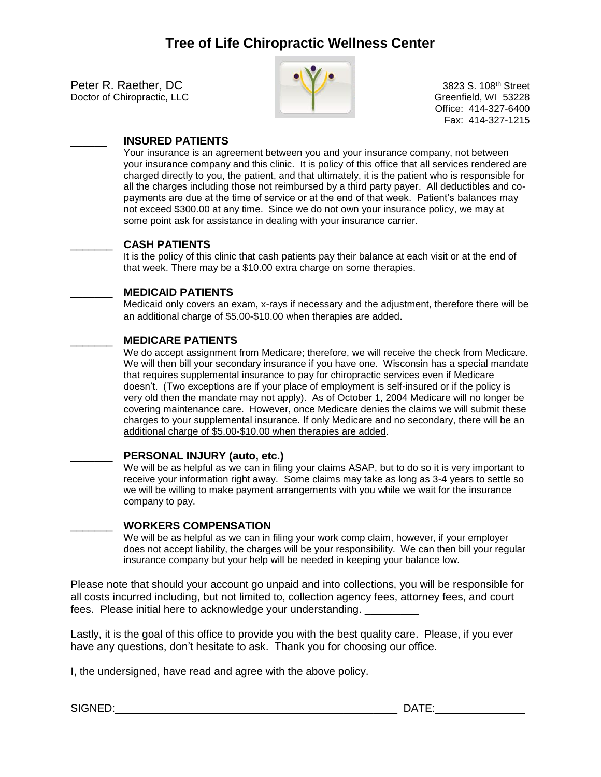Peter R. Raether, DC 3823 S. 108<sup>th</sup> Street<br>Doctor of Chiropractic, LLC<br>Greenfield, WI 53228 Doctor of Chiropractic, LLC



Office: 414-327-6400 Fax: 414-327-1215

#### \_\_\_\_\_\_ **INSURED PATIENTS**

Your insurance is an agreement between you and your insurance company, not between your insurance company and this clinic. It is policy of this office that all services rendered are charged directly to you, the patient, and that ultimately, it is the patient who is responsible for all the charges including those not reimbursed by a third party payer. All deductibles and copayments are due at the time of service or at the end of that week. Patient's balances may not exceed \$300.00 at any time. Since we do not own your insurance policy, we may at some point ask for assistance in dealing with your insurance carrier.

#### \_\_\_\_\_\_\_ **CASH PATIENTS**

It is the policy of this clinic that cash patients pay their balance at each visit or at the end of that week. There may be a \$10.00 extra charge on some therapies.

#### \_\_\_\_\_\_\_ **MEDICAID PATIENTS**

Medicaid only covers an exam, x-rays if necessary and the adjustment, therefore there will be an additional charge of \$5.00-\$10.00 when therapies are added.

#### \_\_\_\_\_\_\_ **MEDICARE PATIENTS**

We do accept assignment from Medicare; therefore, we will receive the check from Medicare. We will then bill your secondary insurance if you have one. Wisconsin has a special mandate that requires supplemental insurance to pay for chiropractic services even if Medicare doesn't. (Two exceptions are if your place of employment is self-insured or if the policy is very old then the mandate may not apply). As of October 1, 2004 Medicare will no longer be covering maintenance care. However, once Medicare denies the claims we will submit these charges to your supplemental insurance. If only Medicare and no secondary, there will be an additional charge of \$5.00-\$10.00 when therapies are added.

#### \_\_\_\_\_\_\_ **PERSONAL INJURY (auto, etc.)**

We will be as helpful as we can in filing your claims ASAP, but to do so it is very important to receive your information right away. Some claims may take as long as 3-4 years to settle so we will be willing to make payment arrangements with you while we wait for the insurance company to pay.

#### \_\_\_\_\_\_\_ **WORKERS COMPENSATION**

We will be as helpful as we can in filing your work comp claim, however, if your employer does not accept liability, the charges will be your responsibility. We can then bill your regular insurance company but your help will be needed in keeping your balance low.

Please note that should your account go unpaid and into collections, you will be responsible for all costs incurred including, but not limited to, collection agency fees, attorney fees, and court fees. Please initial here to acknowledge your understanding.

Lastly, it is the goal of this office to provide you with the best quality care. Please, if you ever have any questions, don't hesitate to ask. Thank you for choosing our office.

I, the undersigned, have read and agree with the above policy.

SIGNED:\_\_\_\_\_\_\_\_\_\_\_\_\_\_\_\_\_\_\_\_\_\_\_\_\_\_\_\_\_\_\_\_\_\_\_\_\_\_\_\_\_\_\_\_\_\_\_ DATE:\_\_\_\_\_\_\_\_\_\_\_\_\_\_\_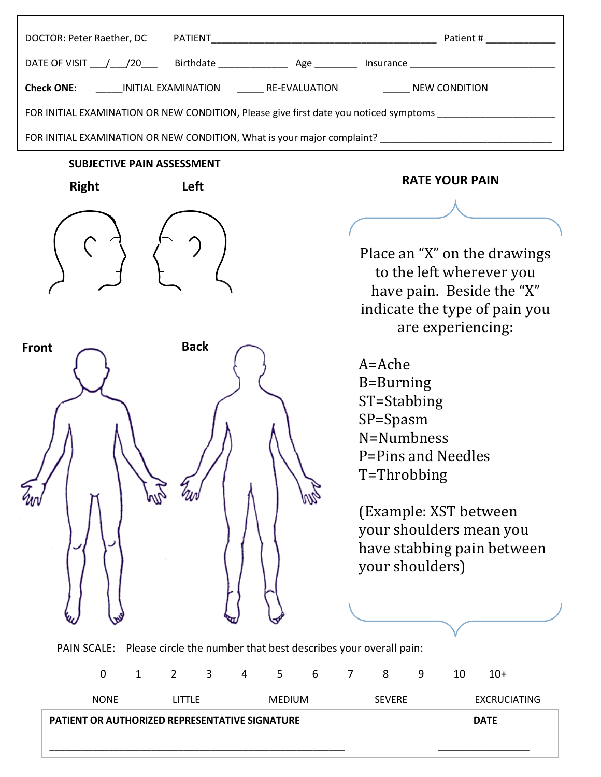| Check ONE: ________ INITIAL EXAMINATION _________ RE-EVALUATION ______________ NEW CONDITION                    |                                                                                                                                                                                                         |
|-----------------------------------------------------------------------------------------------------------------|---------------------------------------------------------------------------------------------------------------------------------------------------------------------------------------------------------|
| FOR INITIAL EXAMINATION OR NEW CONDITION, Please give first date you noticed symptoms _______________________   |                                                                                                                                                                                                         |
| FOR INITIAL EXAMINATION OR NEW CONDITION, What is your major complaint? ____________________________            |                                                                                                                                                                                                         |
| <b>SUBJECTIVE PAIN ASSESSMENT</b>                                                                               |                                                                                                                                                                                                         |
| <b>Right</b><br>Left                                                                                            | <b>RATE YOUR PAIN</b>                                                                                                                                                                                   |
|                                                                                                                 |                                                                                                                                                                                                         |
|                                                                                                                 | Place an "X" on the drawings<br>to the left wherever you<br>have pain. Beside the "X"<br>indicate the type of pain you<br>are experiencing:                                                             |
| <b>Back</b><br><b>Front</b>                                                                                     | A=Ache<br>B=Burning<br>ST=Stabbing<br>SP=Spasm<br>N=Numbness<br>P=Pins and Needles<br>T=Throbbing<br>(Example: XST between)<br>your shoulders mean you<br>have stabbing pain between<br>your shoulders) |
| PAIN SCALE: Please circle the number that best describes your overall pain:<br>$\overline{2}$<br>$\overline{3}$ |                                                                                                                                                                                                         |
| $\mathbf 0$<br>6<br>$\mathbf{1}$<br>$\overline{4}$<br>5                                                         | 8<br>10<br>$\overline{7}$<br>9<br>$10+$                                                                                                                                                                 |
| <b>NONE</b><br><b>LITTLE</b><br><b>MEDIUM</b>                                                                   | <b>SEVERE</b><br><b>EXCRUCIATING</b>                                                                                                                                                                    |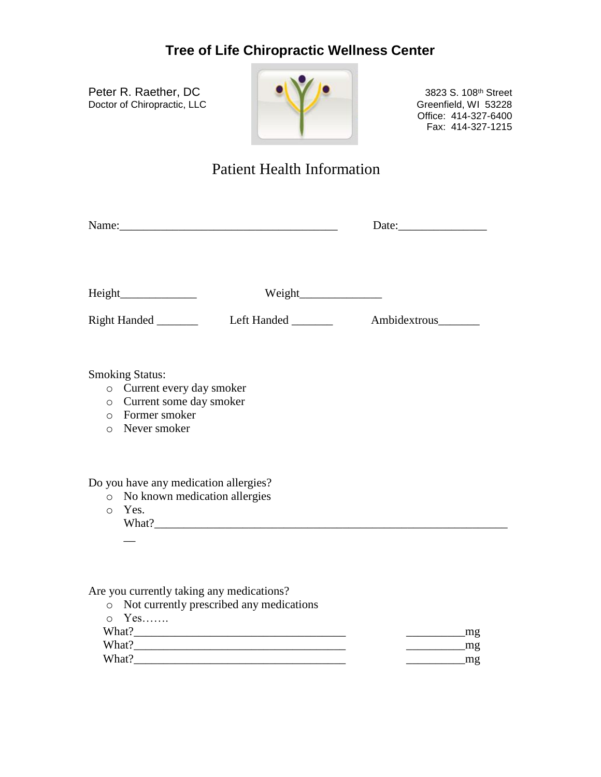### **Tree of Life Chiropractic Wellness Center**

Peter R. Raether, DC **Detection Control 10 Control 10 Control 10 Control 108th Street** Doctor of Chiropractic, LLC Greenfield, WI 53228



Office: 414-327-6400 Fax: 414-327-1215

## Patient Health Information

|          |                                                                                                                        | Name: |              |
|----------|------------------------------------------------------------------------------------------------------------------------|-------|--------------|
|          |                                                                                                                        |       |              |
|          |                                                                                                                        |       | Ambidextrous |
|          | <b>Smoking Status:</b><br>o Current every day smoker<br>o Current some day smoker<br>o Former smoker<br>o Never smoker |       |              |
| $\Omega$ | Do you have any medication allergies?<br>o No known medication allergies<br>Yes.                                       |       |              |

Are you currently taking any medications?

 $\overline{a}$ 

| • Not currently prescribed any medications |    |
|--------------------------------------------|----|
| $\circ$ Yes                                |    |
| What?                                      | mg |
| What?                                      | mø |
| What?                                      | mg |